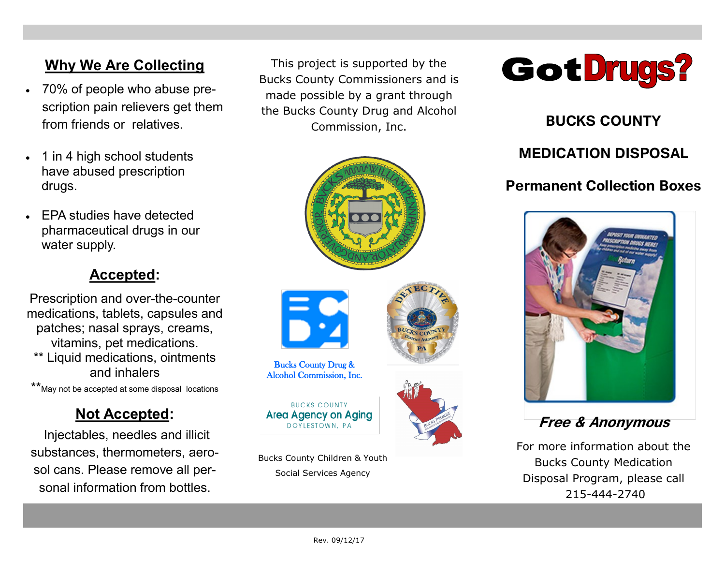# **Why We Are Collecting**

- 70% of people who abuse prescription pain relievers get them from friends or relatives.
- 1 in 4 high school students have abused prescription drugs.
- **EPA studies have detected** pharmaceutical drugs in our water supply.

# **Accepted:**

Prescription and over-the-counter medications, tablets, capsules and patches; nasal sprays, creams, vitamins, pet medications. \*\* Liquid medications, ointments and inhalers

\*\*May not be accepted at some disposal locations

# **Not Accepted:**

Injectables, needles and illicit substances, thermometers, aerosol cans. Please remove all personal information from bottles.

This project is supported by the Bucks County Commissioners and is made possible by a grant through the Bucks County Drug and Alcohol Commission, Inc. **BUCKS COUNTY** 





Bucks County Drug & Alcohol Commission, Inc.

**RUCKS COUNTY Area Agency on Aging** 

Bucks County Children & Youth Social Services Agency



# **MEDICATION DISPOSAL**

# **Permanent Collection Boxes**



**Free & Anonymous**

For more information about the Bucks County Medication Disposal Program, please call 215-444-2740